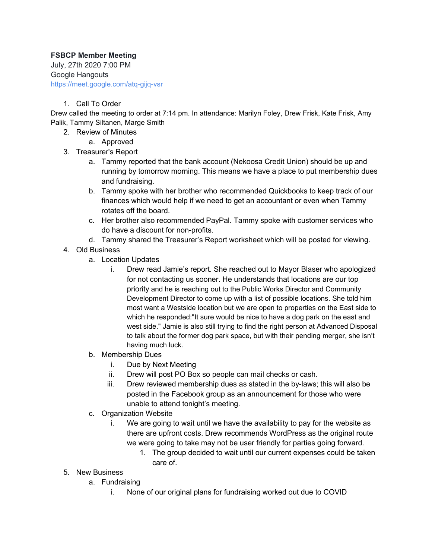## **FSBCP Member Meeting**

July, 27th 2020 7:00 PM Google Hangouts https://meet.google.com/atq-gijq-vsr

## 1. Call To Order

Drew called the meeting to order at 7:14 pm. In attendance: Marilyn Foley, Drew Frisk, Kate Frisk, Amy Palik, Tammy Siltanen, Marge Smith

- 2. Review of Minutes
	- a. Approved
- 3. Treasurer's Report
	- a. Tammy reported that the bank account (Nekoosa Credit Union) should be up and running by tomorrow morning. This means we have a place to put membership dues and fundraising.
	- b. Tammy spoke with her brother who recommended Quickbooks to keep track of our finances which would help if we need to get an accountant or even when Tammy rotates off the board.
	- c. Her brother also recommended PayPal. Tammy spoke with customer services who do have a discount for non-profits.
	- d. Tammy shared the Treasurer's Report worksheet which will be posted for viewing.
- 4. Old Business
	- a. Location Updates
		- i. Drew read Jamie's report. She reached out to Mayor Blaser who apologized for not contacting us sooner. He understands that locations are our top priority and he is reaching out to the Public Works Director and Community Development Director to come up with a list of possible locations. She told him most want a Westside location but we are open to properties on the East side to which he responded:"It sure would be nice to have a dog park on the east and west side." Jamie is also still trying to find the right person at Advanced Disposal to talk about the former dog park space, but with their pending merger, she isn't having much luck.
	- b. Membership Dues
		- i. Due by Next Meeting
		- ii. Drew will post PO Box so people can mail checks or cash.
		- iii. Drew reviewed membership dues as stated in the by-laws; this will also be posted in the Facebook group as an announcement for those who were unable to attend tonight's meeting.
	- c. Organization Website
		- i. We are going to wait until we have the availability to pay for the website as there are upfront costs. Drew recommends WordPress as the original route we were going to take may not be user friendly for parties going forward.
			- 1. The group decided to wait until our current expenses could be taken care of.
- 5. New Business
	- a. Fundraising
		- i. None of our original plans for fundraising worked out due to COVID